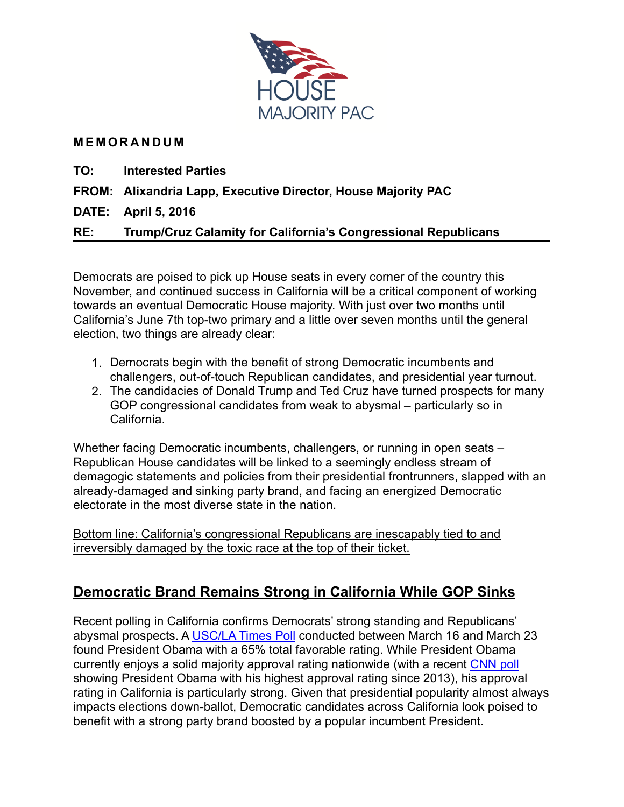

#### **MEMORANDUM**

- **TO: Interested Parties**
- **FROM: Alixandria Lapp, Executive Director, House Majority PAC**

**DATE: April 5, 2016** 

**RE: Trump/Cruz Calamity for California's Congressional Republicans** 

Democrats are poised to pick up House seats in every corner of the country this November, and continued success in California will be a critical component of working towards an eventual Democratic House majority. With just over two months until California's June 7th top-two primary and a little over seven months until the general election, two things are already clear:

- 1. Democrats begin with the benefit of strong Democratic incumbents and challengers, out-of-touch Republican candidates, and presidential year turnout.
- 2. The candidacies of Donald Trump and Ted Cruz have turned prospects for many GOP congressional candidates from weak to abysmal – particularly so in California.

Whether facing Democratic incumbents, challengers, or running in open seats – Republican House candidates will be linked to a seemingly endless stream of demagogic statements and policies from their presidential frontrunners, slapped with an already-damaged and sinking party brand, and facing an energized Democratic electorate in the most diverse state in the nation.

Bottom line: California's congressional Republicans are inescapably tied to and irreversibly damaged by the toxic race at the top of their ticket.

# **Democratic Brand Remains Strong in California While GOP Sinks**

Recent polling in California confirms Democrats' strong standing and Republicans' abysmal prospects. A [USC/LA Times Poll](https://gqrr.app.box.com/s/v75gw0x5crbafafmsrkvvfs8oqdheyyk) conducted between March 16 and March 23 found President Obama with a 65% total favorable rating. While President Obama currently enjoys a solid majority approval rating nationwide (with a recent [CNN poll](http://i2.cdn.turner.com/cnn/2016/images/03/24/rel5c.-.obama,.scotus.pdf) showing President Obama with his highest approval rating since 2013), his approval rating in California is particularly strong. Given that presidential popularity almost always impacts elections down-ballot, Democratic candidates across California look poised to benefit with a strong party brand boosted by a popular incumbent President.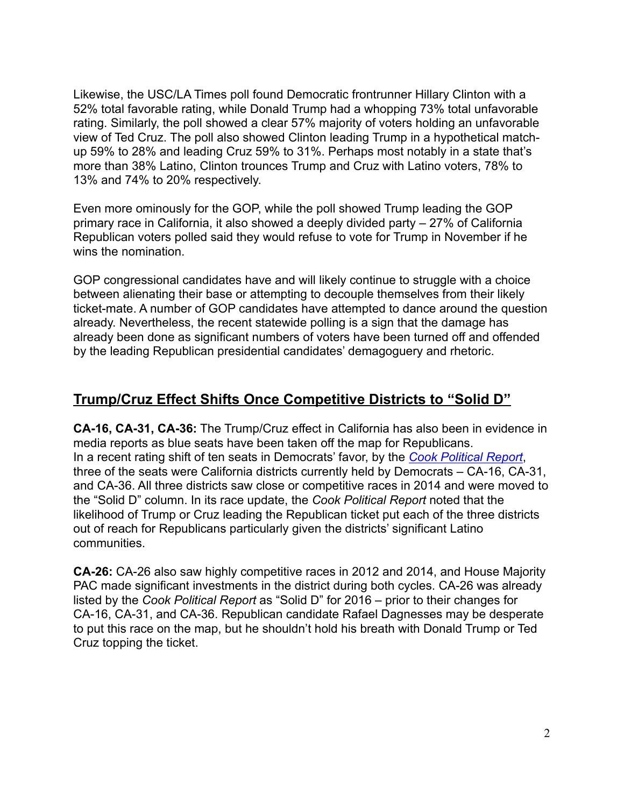Likewise, the USC/LA Times poll found Democratic frontrunner Hillary Clinton with a 52% total favorable rating, while Donald Trump had a whopping 73% total unfavorable rating. Similarly, the poll showed a clear 57% majority of voters holding an unfavorable view of Ted Cruz. The poll also showed Clinton leading Trump in a hypothetical matchup 59% to 28% and leading Cruz 59% to 31%. Perhaps most notably in a state that's more than 38% Latino, Clinton trounces Trump and Cruz with Latino voters, 78% to 13% and 74% to 20% respectively.

Even more ominously for the GOP, while the poll showed Trump leading the GOP primary race in California, it also showed a deeply divided party – 27% of California Republican voters polled said they would refuse to vote for Trump in November if he wins the nomination.

GOP congressional candidates have and will likely continue to struggle with a choice between alienating their base or attempting to decouple themselves from their likely ticket-mate. A number of GOP candidates have attempted to dance around the question already. Nevertheless, the recent statewide polling is a sign that the damage has already been done as significant numbers of voters have been turned off and offended by the leading Republican presidential candidates' demagoguery and rhetoric.

# **Trump/Cruz Effect Shifts Once Competitive Districts to "Solid D"**

**CA-16, CA-31, CA-36:** The Trump/Cruz effect in California has also been in evidence in media reports as blue seats have been taken off the map for Republicans. In a recent rating shift of ten seats in Democrats' favor, by the *[Cook Political Report](http://cookpolitical.com/story/9382)*, three of the seats were California districts currently held by Democrats – CA-16, CA-31, and CA-36. All three districts saw close or competitive races in 2014 and were moved to the "Solid D" column. In its race update, the *Cook Political Report* noted that the likelihood of Trump or Cruz leading the Republican ticket put each of the three districts out of reach for Republicans particularly given the districts' significant Latino communities.

**CA-26:** CA-26 also saw highly competitive races in 2012 and 2014, and House Majority PAC made significant investments in the district during both cycles. CA-26 was already listed by the *Cook Political Report* as "Solid D" for 2016 – prior to their changes for CA-16, CA-31, and CA-36. Republican candidate Rafael Dagnesses may be desperate to put this race on the map, but he shouldn't hold his breath with Donald Trump or Ted Cruz topping the ticket.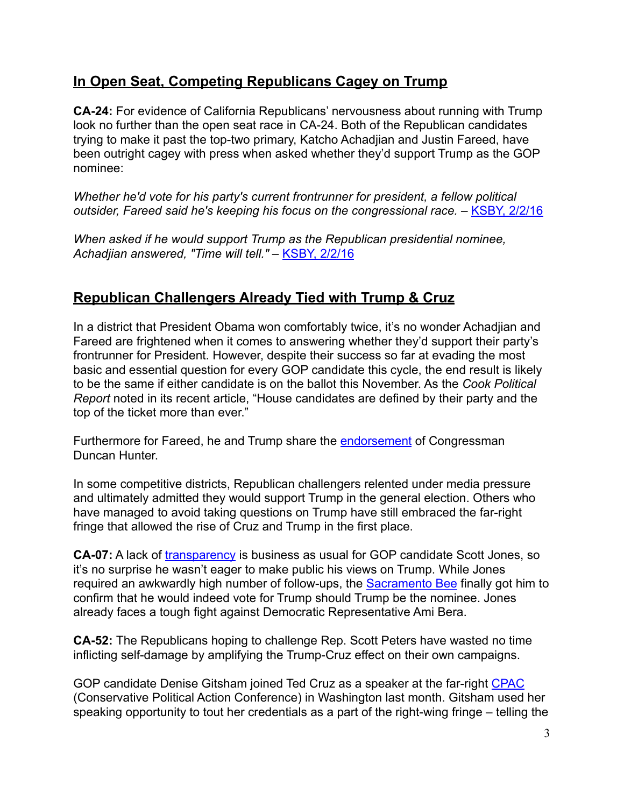### **In Open Seat, Competing Republicans Cagey on Trump**

**CA-24:** For evidence of California Republicans' nervousness about running with Trump look no further than the open seat race in CA-24. Both of the Republican candidates trying to make it past the top-two primary, Katcho Achadjian and Justin Fareed, have been outright cagey with press when asked whether they'd support Trump as the GOP nominee:

*Whether he'd vote for his party's current frontrunner for president, a fellow political*  outsider, Fareed said he's keeping his focus on the congressional race. - [KSBY, 2/2/16](http://www.ksby.com/story/31114294/congressional-candidate-profile-justin-fareed)

*When asked if he would support Trump as the Republican presidential nominee, Achadjian answered, "Time will tell."* – [KSBY, 2/2/16](http://www.ksby.com/story/31114429/congressional-candidate-profile-katcho-achadjian)

# **Republican Challengers Already Tied with Trump & Cruz**

In a district that President Obama won comfortably twice, it's no wonder Achadjian and Fareed are frightened when it comes to answering whether they'd support their party's frontrunner for President. However, despite their success so far at evading the most basic and essential question for every GOP candidate this cycle, the end result is likely to be the same if either candidate is on the ballot this November. As the *Cook Political Report* noted in its recent article, "House candidates are defined by their party and the top of the ticket more than ever."

Furthermore for Fareed, he and Trump share the **endorsement** of Congressman Duncan Hunter.

In some competitive districts, Republican challengers relented under media pressure and ultimately admitted they would support Trump in the general election. Others who have managed to avoid taking questions on Trump have still embraced the far-right fringe that allowed the rise of Cruz and Trump in the first place.

**CA-07:** A lack of [transparency](http://www.sacbee.com/opinion/editorials/article46170450.html) is business as usual for GOP candidate Scott Jones, so it's no surprise he wasn't eager to make public his views on Trump. While Jones required an awkwardly high number of follow-ups, the [Sacramento Bee](http://www.sacbee.com/opinion/opn-columns-blogs/dan-morain/article64086802.html) finally got him to confirm that he would indeed vote for Trump should Trump be the nominee. Jones already faces a tough fight against Democratic Representative Ami Bera.

**CA-52:** The Republicans hoping to challenge Rep. Scott Peters have wasted no time inflicting self-damage by amplifying the Trump-Cruz effect on their own campaigns.

GOP candidate Denise Gitsham joined Ted Cruz as a speaker at the far-right [CPAC](http://www.sandiegouniontribune.com/news/2016/mar/04/house-candidate-denise-gitsham-said-she-passed-as/2/?) (Conservative Political Action Conference) in Washington last month. Gitsham used her speaking opportunity to tout her credentials as a part of the right-wing fringe – telling the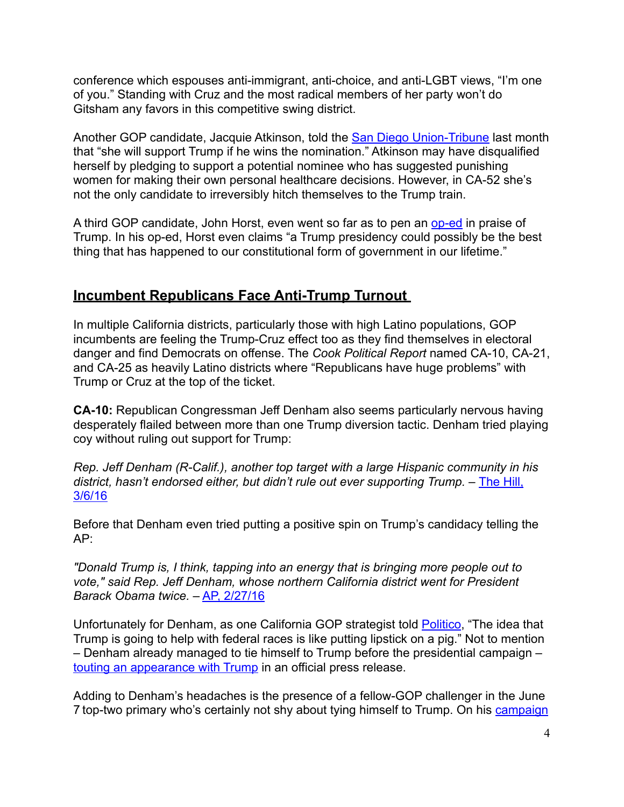conference which espouses anti-immigrant, anti-choice, and anti-LGBT views, "I'm one of you." Standing with Cruz and the most radical members of her party won't do Gitsham any favors in this competitive swing district.

Another GOP candidate, Jacquie Atkinson, told the **San Diego Union-Tribune last month** that "she will support Trump if he wins the nomination." Atkinson may have disqualified herself by pledging to support a potential nominee who has suggested punishing women for making their own personal healthcare decisions. However, in CA-52 she's not the only candidate to irreversibly hitch themselves to the Trump train.

A third GOP candidate, John Horst, even went so far as to pen an [op-ed](http://sdrostra.com/?p=44461#comment-370830) in praise of Trump. In his op-ed, Horst even claims "a Trump presidency could possibly be the best thing that has happened to our constitutional form of government in our lifetime."

# **Incumbent Republicans Face Anti-Trump Turnout**

In multiple California districts, particularly those with high Latino populations, GOP incumbents are feeling the Trump-Cruz effect too as they find themselves in electoral danger and find Democrats on offense. The *Cook Political Report* named CA-10, CA-21, and CA-25 as heavily Latino districts where "Republicans have huge problems" with Trump or Cruz at the top of the ticket.

**CA-10:** Republican Congressman Jeff Denham also seems particularly nervous having desperately flailed between more than one Trump diversion tactic. Denham tried playing coy without ruling out support for Trump:

*Rep. Jeff Denham (R-Calif.), another top target with a large Hispanic community in his [district, hasn't endorsed either, but didn't rule out ever supporting Trump. –](http://thehill.com/homenews/campaign/271893-republicans-in-tough-races-wrestle-with-trump-strategy) The Hill,* 3/6/16

Before that Denham even tried putting a positive spin on Trump's candidacy telling the AP:

*"Donald Trump is, I think, tapping into an energy that is bringing more people out to vote," said Rep. Jeff Denham, whose northern California district went for President Barack Obama twice.* – [AP, 2/27/16](http://bigstory.ap.org/article/3b8f7f54ada24ef7bc0a570943964e00/fear-and-loathing-over-trump-among-gop-congress)

Unfortunately for Denham, as one California GOP strategist told [Politico,](http://www.politico.com/story/2016/03/trump-gop-house-majority-jeopardy-221004) "The idea that Trump is going to help with federal races is like putting lipstick on a pig." Not to mention – Denham already managed to tie himself to Trump before the presidential campaign – [touting an appearance with Trump](https://denham.house.gov/media-center/press-releases/denham-joins-trump-family-unveiling-hotel-old-post-office-building) in an official press release.

Adding to Denham's headaches is the presence of a fellow-GOP challenger in the June 7 top-two primary who's certainly not shy about tying himself to Trump. On his campaign